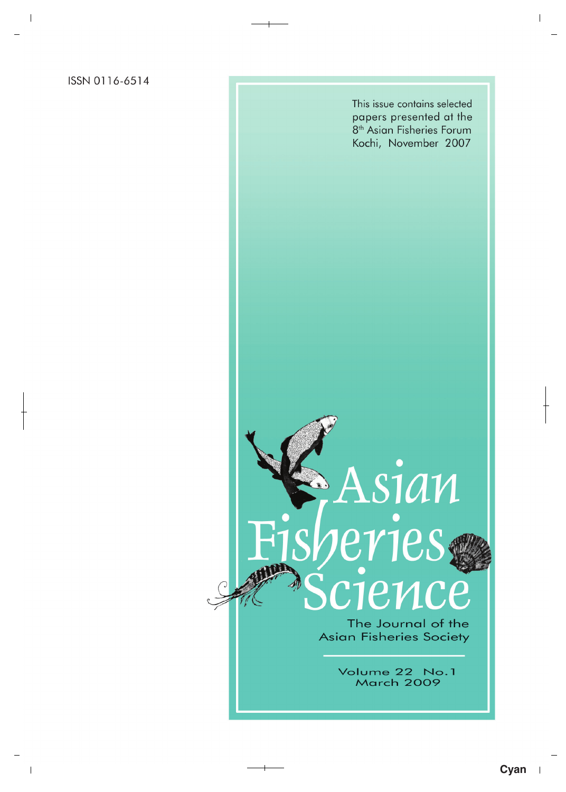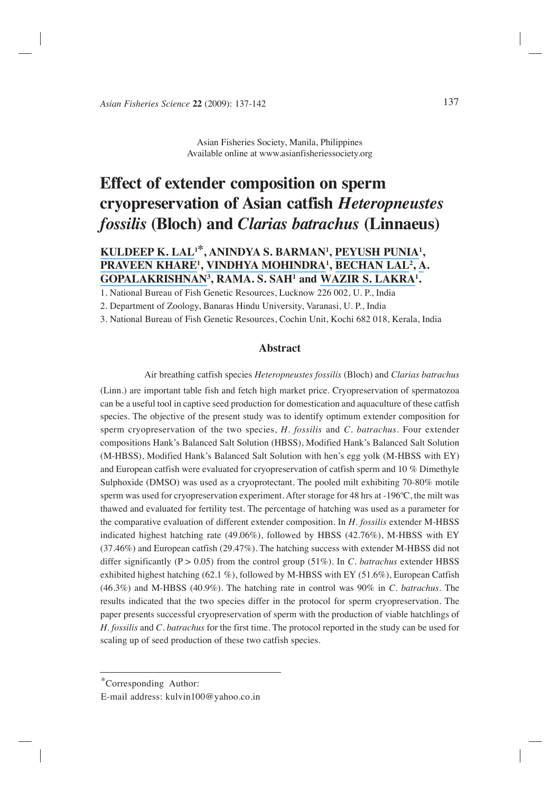Asian Fisheries Society, Manila, Philippines Available online at www.asianfisheriessociety.org

# **Effect of extender composition on sperm cryopreservation of Asian catfish** *Heteropneustes fossilis* **(Bloch) and** *Clarias batrachus* **(Linnaeus)**

# **[KULDEEP K. LAL1](https://www.researchgate.net/profile/Kuldeep_Lal?el=1_x_100&enrichId=rgreq-16e6d33558f2fa1a70b46e6236acb52c-XXX&enrichSource=Y292ZXJQYWdlOzIyOTQyMzI3MztBUzoxMDQyMTg1NDMyNjM3NDdAMTQwMTg1OTA0NTU4Mw==)\*, ANINDYA S. BARMAN1 , [PEYUSH PUNIA](https://www.researchgate.net/profile/Peyush_Punia?el=1_x_100&enrichId=rgreq-16e6d33558f2fa1a70b46e6236acb52c-XXX&enrichSource=Y292ZXJQYWdlOzIyOTQyMzI3MztBUzoxMDQyMTg1NDMyNjM3NDdAMTQwMTg1OTA0NTU4Mw==)1 , [PRAVEEN KHARE](https://www.researchgate.net/profile/Praveen_Khare2?el=1_x_100&enrichId=rgreq-16e6d33558f2fa1a70b46e6236acb52c-XXX&enrichSource=Y292ZXJQYWdlOzIyOTQyMzI3MztBUzoxMDQyMTg1NDMyNjM3NDdAMTQwMTg1OTA0NTU4Mw==)1 , [VINDHYA MOHINDRA](https://www.researchgate.net/profile/Vindhya_Mohindra?el=1_x_100&enrichId=rgreq-16e6d33558f2fa1a70b46e6236acb52c-XXX&enrichSource=Y292ZXJQYWdlOzIyOTQyMzI3MztBUzoxMDQyMTg1NDMyNjM3NDdAMTQwMTg1OTA0NTU4Mw==)1 , [BECHAN LAL](https://www.researchgate.net/profile/Bechan_Lal?el=1_x_100&enrichId=rgreq-16e6d33558f2fa1a70b46e6236acb52c-XXX&enrichSource=Y292ZXJQYWdlOzIyOTQyMzI3MztBUzoxMDQyMTg1NDMyNjM3NDdAMTQwMTg1OTA0NTU4Mw==)2 , [A](https://www.researchgate.net/profile/Dr_Gopalakrishnan2?el=1_x_100&enrichId=rgreq-16e6d33558f2fa1a70b46e6236acb52c-XXX&enrichSource=Y292ZXJQYWdlOzIyOTQyMzI3MztBUzoxMDQyMTg1NDMyNjM3NDdAMTQwMTg1OTA0NTU4Mw==). [GOPALAKRISHNAN](https://www.researchgate.net/profile/Dr_Gopalakrishnan2?el=1_x_100&enrichId=rgreq-16e6d33558f2fa1a70b46e6236acb52c-XXX&enrichSource=Y292ZXJQYWdlOzIyOTQyMzI3MztBUzoxMDQyMTg1NDMyNjM3NDdAMTQwMTg1OTA0NTU4Mw==)3 , RAMA. S. SAH1 and [WAZIR S. LAKRA](https://www.researchgate.net/profile/Wazir_Lakra?el=1_x_100&enrichId=rgreq-16e6d33558f2fa1a70b46e6236acb52c-XXX&enrichSource=Y292ZXJQYWdlOzIyOTQyMzI3MztBUzoxMDQyMTg1NDMyNjM3NDdAMTQwMTg1OTA0NTU4Mw==)1 .**

1. National Bureau of Fish Genetic Resources, Lucknow 226 002, U. P., India

2. Department of Zoology, Banaras Hindu University, Varanasi, U. P., India

3. National Bureau of Fish Genetic Resources, Cochin Unit, Kochi 682 018, Kerala, India

## **Abstract**

 Air breathing catfish species *Heteropneustes fossilis* (Bloch) and *Clarias batrachus* (Linn.) are important table fish and fetch high market price. Cryopreservation of spermatozoa can be a useful tool in captive seed production for domestication and aquaculture of these catfish species. The objective of the present study was to identify optimum extender composition for sperm cryopreservation of the two species, *H. fossilis* and *C. batrachus.* Four extender compositions Hank's Balanced Salt Solution (HBSS), Modified Hank's Balanced Salt Solution (M-HBSS), Modified Hank's Balanced Salt Solution with hen's egg yolk (M-HBSS with EY) and European catfish were evaluated for cryopreservation of catfish sperm and 10 % Dimethyle Sulphoxide (DMSO) was used as a cryoprotectant. The pooled milt exhibiting 70-80% motile sperm was used for cryopreservation experiment. After storage for 48 hrs at -196ºC, the milt was thawed and evaluated for fertility test. The percentage of hatching was used as a parameter for the comparative evaluation of different extender composition. In *H. fossilis* extender M-HBSS indicated highest hatching rate (49.06%), followed by HBSS (42.76%), M-HBSS with EY (37.46%) and European catfish (29.47%). The hatching success with extender M-HBSS did not differ significantly ( $P > 0.05$ ) from the control group (51%). In *C. batrachus* extender HBSS exhibited highest hatching (62.1 %), followed by M-HBSS with EY (51.6%), European Catfish (46.3%) and M-HBSS (40.9%). The hatching rate in control was 90% in *C. batrachus.* The results indicated that the two species differ in the protocol for sperm cryopreservation. The paper presents successful cryopreservation of sperm with the production of viable hatchlings of *H. fossilis* and *C. batrachus* for the first time. The protocol reported in the study can be used for scaling up of seed production of these two catfish species.

<sup>\*</sup>Corresponding Author:

E-mail address: kulvin100@yahoo.co.in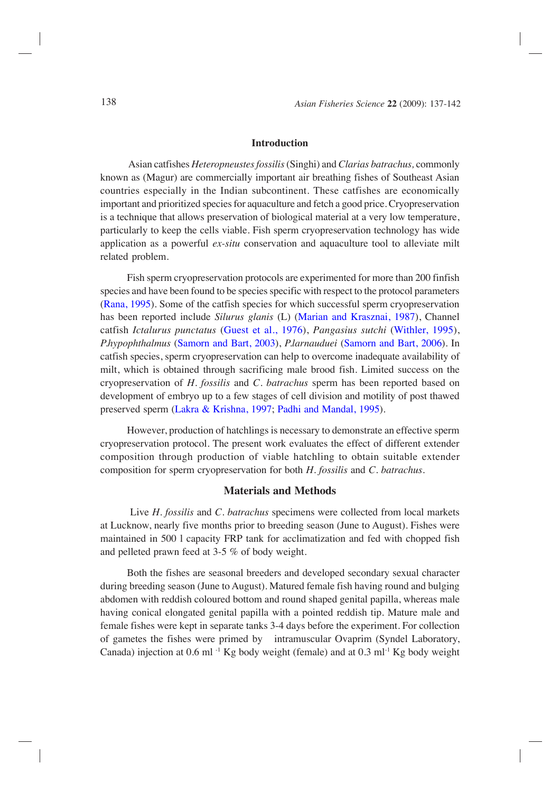#### **Introduction**

 Asian catfishes *Heteropneustes fossilis* (Singhi) and *Clarias batrachus,* commonly known as (Magur) are commercially important air breathing fishes of Southeast Asian countries especially in the Indian subcontinent. These catfishes are economically important and prioritized species for aquaculture and fetch a good price. Cryopreservation is a technique that allows preservation of biological material at a very low temperature, particularly to keep the cells viable. Fish sperm cryopreservation technology has wide application as a powerful *ex-situ* conservation and aquaculture tool to alleviate milt related problem.

Fish sperm cryopreservation protocols are experimented for more than 200 finfish species and have been found to be species specific with respect to the protocol parameters [\(Rana, 1995\)](#page-5-0). Some of the catfish species for which successful sperm cryopreservation has been reported include *Silurus glanis* (L) [\(Marian and Krasznai, 1987\)](#page-5-0), Channel catfish *Ictalurus punctatus* [\(Guest et al., 1976\)](#page-5-0), *Pangasius sutchi* [\(Withler, 1995\)](#page-5-0), *P.hypophthalmus* [\(Samorn and Bart, 2003\)](#page-5-0), *P.larnauduei* [\(Samorn and Bart, 2006\)](#page-5-0). In catfish species, sperm cryopreservation can help to overcome inadequate availability of milt, which is obtained through sacrificing male brood fish. Limited success on the cryopreservation of *H. fossilis* and *C. batrachus* sperm has been reported based on development of embryo up to a few stages of cell division and motility of post thawed preserved sperm [\(Lakra & Krishna, 1997; Padhi and Mandal, 1995\)](#page-5-0).

However, production of hatchlings is necessary to demonstrate an effective sperm cryopreservation protocol. The present work evaluates the effect of different extender composition through production of viable hatchling to obtain suitable extender composition for sperm cryopreservation for both *H. fossilis* and *C. batrachus.*

#### **Materials and Methods**

 Live *H. fossilis* and *C. batrachus* specimens were collected from local markets at Lucknow, nearly five months prior to breeding season (June to August). Fishes were maintained in 500 l capacity FRP tank for acclimatization and fed with chopped fish and pelleted prawn feed at 3-5 % of body weight.

Both the fishes are seasonal breeders and developed secondary sexual character during breeding season (June to August). Matured female fish having round and bulging abdomen with reddish coloured bottom and round shaped genital papilla, whereas male having conical elongated genital papilla with a pointed reddish tip. Mature male and female fishes were kept in separate tanks 3-4 days before the experiment. For collection of gametes the fishes were primed by intramuscular Ovaprim (Syndel Laboratory, Canada) injection at 0.6 ml<sup>-1</sup> Kg body weight (female) and at 0.3 ml<sup>-1</sup> Kg body weight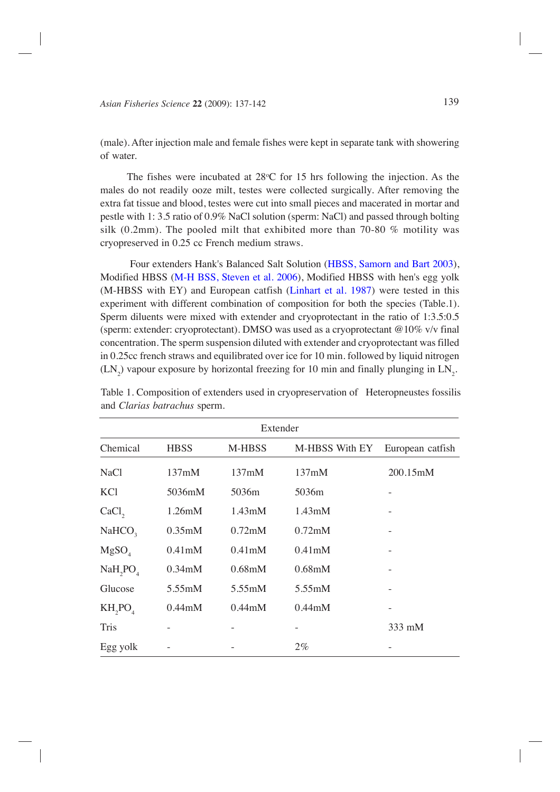(male). After injection male and female fishes were kept in separate tank with showering of water.

The fishes were incubated at  $28^{\circ}$ C for 15 hrs following the injection. As the males do not readily ooze milt, testes were collected surgically. After removing the extra fat tissue and blood, testes were cut into small pieces and macerated in mortar and pestle with 1: 3.5 ratio of 0.9% NaCl solution (sperm: NaCl) and passed through bolting silk (0.2mm). The pooled milt that exhibited more than 70-80 % motility was cryopreserved in 0.25 cc French medium straws.

 Four extenders Hank's Balanced Salt Solution [\(HBSS, Samorn and Bart 2003\)](#page-5-0), Modified HBSS (M-H BSS, Steven et al. 2006), Modified HBSS with hen's egg yolk (M-HBSS with EY) and European catfish [\(Linhart et al. 1987\)](#page-5-0) were tested in this experiment with different combination of composition for both the species (Table.1). Sperm diluents were mixed with extender and cryoprotectant in the ratio of 1:3.5:0.5 (sperm: extender: cryoprotectant). DMSO was used as a cryoprotectant @10% v/v final concentration. The sperm suspension diluted with extender and cryoprotectant was filled in 0.25cc french straws and equilibrated over ice for 10 min. followed by liquid nitrogen  $(LN_2)$  vapour exposure by horizontal freezing for 10 min and finally plunging in  $LN_2$ .

| Extender            |                     |                     |                     |                  |
|---------------------|---------------------|---------------------|---------------------|------------------|
| Chemical            | <b>HBSS</b>         | <b>M-HBSS</b>       | M-HBSS With EY      | European catfish |
| <b>NaCl</b>         | 137mM               | 137mM               | 137mM               | 200.15mM         |
| KC <sub>1</sub>     | 5036mM              | 5036m               | 5036m               |                  |
| CaCl <sub>2</sub>   | 1.26mM              | $1.43 \text{m}$ M   | 1.43mM              |                  |
| NaHCO <sub>3</sub>  | 0.35 <sub>m</sub> M | $0.72$ mM           | 0.72 <sub>m</sub> M |                  |
| MgSO <sub>4</sub>   | 0.41 <sub>m</sub> M | 0.41 <sub>m</sub> M | 0.41 <sub>m</sub> M |                  |
| NaH,PO <sub>4</sub> | 0.34 <sub>m</sub> M | $0.68$ m $M$        | 0.68 <sub>m</sub> M |                  |
| Glucose             | 5.55mM              | 5.55mM              | 5.55mM              |                  |
| $KH_2PO_4$          | $0.44$ m $M$        | $0.44$ m $M$        | $0.44$ m $M$        | -                |
| <b>Tris</b>         |                     |                     |                     | 333 mM           |
| Egg yolk            |                     |                     | $2\%$               |                  |

Table 1. Composition of extenders used in cryopreservation of Heteropneustes fossilis and *Clarias batrachus* sperm.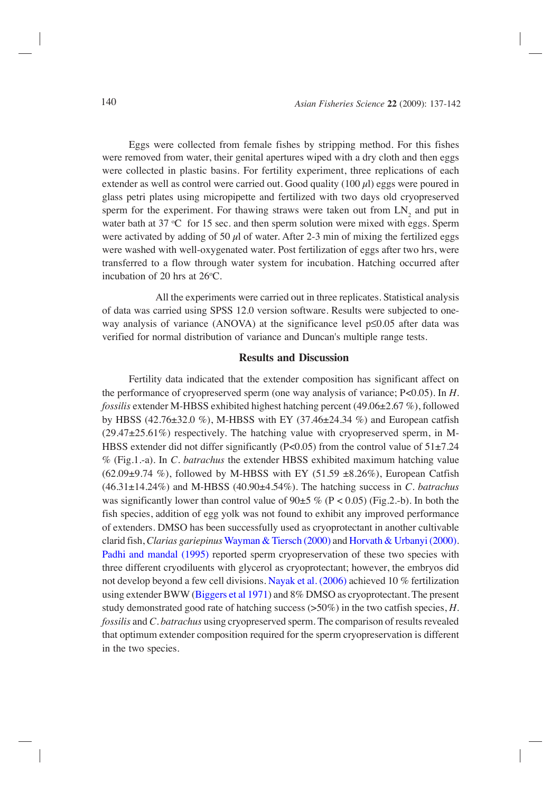Eggs were collected from female fishes by stripping method. For this fishes were removed from water, their genital apertures wiped with a dry cloth and then eggs were collected in plastic basins. For fertility experiment, three replications of each extender as well as control were carried out. Good quality  $(100 \mu l)$  eggs were poured in glass petri plates using micropipette and fertilized with two days old cryopreserved sperm for the experiment. For thawing straws were taken out from  $LN_2$  and put in water bath at  $37 \text{ °C}$  for 15 sec. and then sperm solution were mixed with eggs. Sperm were activated by adding of 50  $\mu$ l of water. After 2-3 min of mixing the fertilized eggs were washed with well-oxygenated water. Post fertilization of eggs after two hrs, were transferred to a flow through water system for incubation. Hatching occurred after incubation of 20 hrs at  $26^{\circ}$ C.

All the experiments were carried out in three replicates. Statistical analysis of data was carried using SPSS 12.0 version software. Results were subjected to oneway analysis of variance (ANOVA) at the significance level p≤0.05 after data was verified for normal distribution of variance and Duncan's multiple range tests.

### **Results and Discussion**

Fertility data indicated that the extender composition has significant affect on the performance of cryopreserved sperm (one way analysis of variance; P<0.05). In *H. fossilis* extender M-HBSS exhibited highest hatching percent (49.06±2.67 %), followed by HBSS (42.76±32.0 %), M-HBSS with EY (37.46±24.34 %) and European catfish (29.47±25.61%) respectively. The hatching value with cryopreserved sperm, in M-HBSS extender did not differ significantly (P<0.05) from the control value of  $51\pm7.24$ % (Fig.1.-a). In *C. batrachus* the extender HBSS exhibited maximum hatching value  $(62.09\pm9.74\%)$ , followed by M-HBSS with EY (51.59  $\pm8.26\%$ ), European Catfish (46.31±14.24%) and M-HBSS (40.90±4.54%). The hatching success in *C. batrachus* was significantly lower than control value of  $90±5\%$  (P < 0.05) (Fig.2.-b). In both the fish species, addition of egg yolk was not found to exhibit any improved performance of extenders. DMSO has been successfully used as cryoprotectant in another cultivable clarid fish, *Clarias gariepinus* [Wayman & Tiersch \(2000\)](#page-5-0) and [Horvath & Urbanyi \(2000\).](#page-5-0) [Padhi and mandal \(1995\)](#page-5-0) reported sperm cryopreservation of these two species with three different cryodiluents with glycerol as cryoprotectant; however, the embryos did not develop beyond a few cell divisions. [Nayak et al. \(2006\)](#page-5-0) achieved 10 % fertilization using extender BWW [\(Biggers et al 1971\)](#page-5-0) and 8% DMSO as cryoprotectant. The present study demonstrated good rate of hatching success (>50%) in the two catfish species, *H. fossilis* and *C. batrachus* using cryopreserved sperm. The comparison of results revealed that optimum extender composition required for the sperm cryopreservation is different in the two species.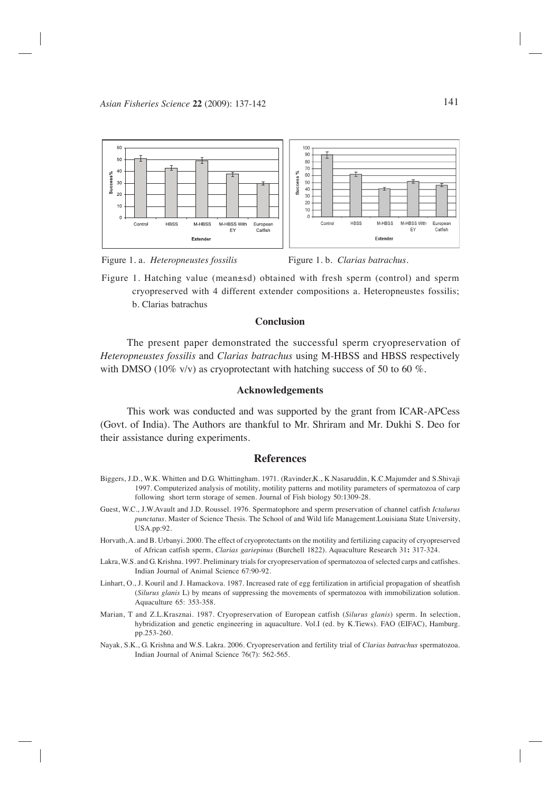

Figure 1. a. *Heteropneustes fossilis* Figure 1. b. *Clarias batrachus*.

Figure 1. Hatching value (mean±sd) obtained with fresh sperm (control) and sperm cryopreserved with 4 different extender compositions a. Heteropneustes fossilis; b. Clarias batrachus

#### **Conclusion**

The present paper demonstrated the successful sperm cryopreservation of *Heteropneustes fossilis* and *Clarias batrachus* using M-HBSS and HBSS respectively with DMSO (10% v/v) as cryoprotectant with hatching success of 50 to 60 %.

#### **Acknowledgements**

This work was conducted and was supported by the grant from ICAR-APCess (Govt. of India). The Authors are thankful to Mr. Shriram and Mr. Dukhi S. Deo for their assistance during experiments.

#### **References**

- Biggers, J.D., W.K. Whitten and D.G. Whittingham. 1971. (Ravinder,K., K.Nasaruddin, K.C.Majumder and S.Shivaji 1997. Computerized analysis of motility, motility patterns and motility parameters of spermatozoa of carp following short term storage of semen. Journal of Fish biology 50:1309-28.
- Guest, W.C., J.W.Avault and J.D. Roussel. 1976. Spermatophore and sperm preservation of channel catfish *Ictalurus punctatus*. Master of Science Thesis. The School of and Wild life Management.Louisiana State University, USA.pp:92.
- Horvath, A. and B. Urbanyi. 2000. The effect of cryoprotectants on the motility and fertilizing capacity of cryopreserved of African catfish sperm, *Clarias gariepinus* (Burchell 1822). Aquaculture Research 31**:** 317-324.
- Lakra, W.S. and G. Krishna. 1997. Preliminary trials for cryopreservation of spermatozoa of selected carps and catfishes. Indian Journal of Animal Science 67:90-92.
- Linhart, O., J. Kouril and J. Hamackova. 1987. Increased rate of egg fertilization in artificial propagation of sheatfish (*Silurus glanis* L) by means of suppressing the movements of spermatozoa with immobilization solution. Aquaculture 65: 353-358.
- Marian, T and Z.L.Krasznai. 1987. Cryopreservation of European catfish (*Silurus glanis*) sperm. In selection, hybridization and genetic engineering in aquaculture. Vol.I (ed. by K.Tiews). FAO (EIFAC), Hamburg. pp.253-260.
- <span id="page-5-0"></span>Nayak, S.K., G. Krishna and W.S. Lakra. 2006. Cryopreservation and fertility trial of *Clarias batrachus* spermatozoa. Indian Journal of Animal Science 76(7): 562-565.